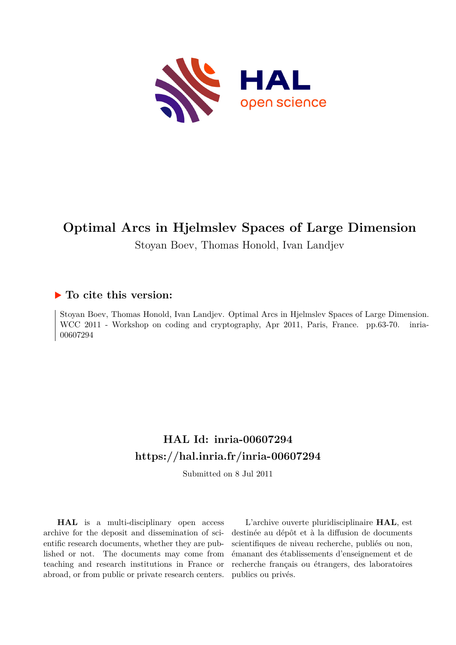

# **Optimal Arcs in Hjelmslev Spaces of Large Dimension**

Stoyan Boev, Thomas Honold, Ivan Landjev

## **To cite this version:**

Stoyan Boev, Thomas Honold, Ivan Landjev. Optimal Arcs in Hjelmslev Spaces of Large Dimension. WCC 2011 - Workshop on coding and cryptography, Apr 2011, Paris, France. pp.63-70. inria-00607294ff

# **HAL Id: inria-00607294 <https://hal.inria.fr/inria-00607294>**

Submitted on 8 Jul 2011

**HAL** is a multi-disciplinary open access archive for the deposit and dissemination of scientific research documents, whether they are published or not. The documents may come from teaching and research institutions in France or abroad, or from public or private research centers.

L'archive ouverte pluridisciplinaire **HAL**, est destinée au dépôt et à la diffusion de documents scientifiques de niveau recherche, publiés ou non, émanant des établissements d'enseignement et de recherche français ou étrangers, des laboratoires publics ou privés.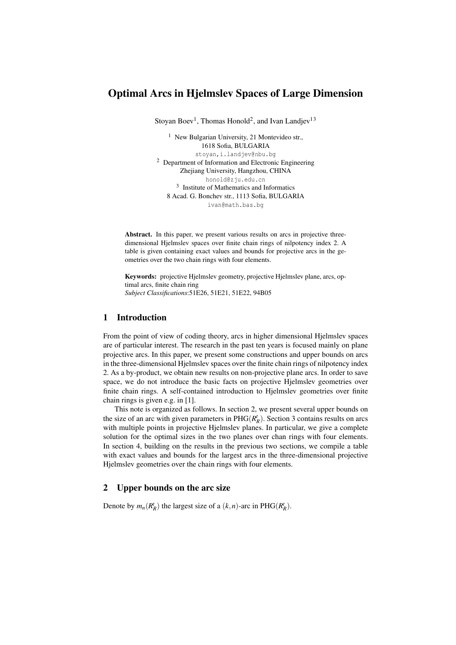### Optimal Arcs in Hjelmslev Spaces of Large Dimension

Stoyan Boev<sup>1</sup>, Thomas Honold<sup>2</sup>, and Ivan Landjev<sup>13</sup>

<sup>1</sup> New Bulgarian University, 21 Montevideo str., 1618 Sofia, BULGARIA stoyan,i.landjev@nbu.bg <sup>2</sup> Department of Information and Electronic Engineering Zhejiang University, Hangzhou, CHINA honold@zju.edu.cn <sup>3</sup> Institute of Mathematics and Informatics 8 Acad. G. Bonchev str., 1113 Sofia, BULGARIA ivan@math.bas.bg

Abstract. In this paper, we present various results on arcs in projective threedimensional Hjelmslev spaces over finite chain rings of nilpotency index 2. A table is given containing exact values and bounds for projective arcs in the geometries over the two chain rings with four elements.

Keywords: projective Hjelmslev geometry, projective Hjelmslev plane, arcs, optimal arcs, finite chain ring *Subject Classifications*:51E26, 51E21, 51E22, 94B05

#### 1 Introduction

From the point of view of coding theory, arcs in higher dimensional Hjelmslev spaces are of particular interest. The research in the past ten years is focused mainly on plane projective arcs. In this paper, we present some constructions and upper bounds on arcs in the three-dimensional Hjelmslev spaces over the finite chain rings of nilpotency index 2. As a by-product, we obtain new results on non-projective plane arcs. In order to save space, we do not introduce the basic facts on projective Hjelmslev geometries over finite chain rings. A self-contained introduction to Hjelmslev geometries over finite chain rings is given e.g. in [1].

This note is organized as follows. In section 2, we present several upper bounds on the size of an arc with given parameters in  $PHG(R_R^t)$ . Section 3 contains results on arcs with multiple points in projective Hjelmslev planes. In particular, we give a complete solution for the optimal sizes in the two planes over chan rings with four elements. In section 4, building on the results in the previous two sections, we compile a table with exact values and bounds for the largest arcs in the three-dimensional projective Hjelmslev geometries over the chain rings with four elements.

#### 2 Upper bounds on the arc size

Denote by  $m_n(R_R^t)$  the largest size of a  $(k, n)$ -arc in PHG( $R_R^t$ ).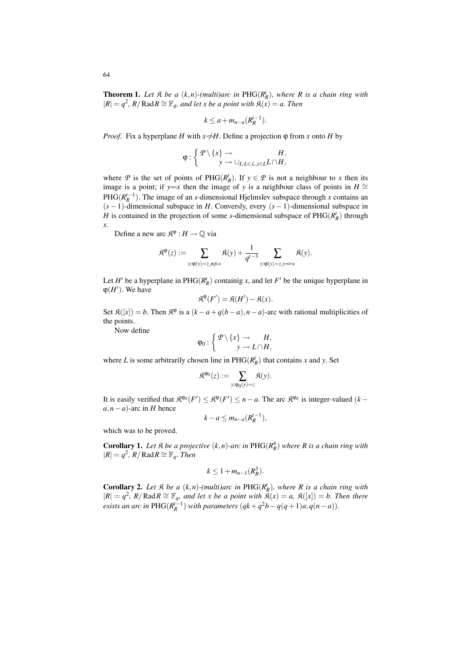**Theorem 1.** Let  $\mathfrak{K}$  be a  $(k, n)$ -(multi)arc in PHG( $R_k^t$ ), where  $R$  is a chain ring with  $|R| = q^2$ , R/Rad $R ≌ \mathbb{F}_q$ , and let x be a point with  $\mathfrak{K}(x) = a$ . Then

$$
k \le a + m_{n-a}(R_R^{t-1}).
$$

*Proof.* Fix a hyperplane *H* with  $x \notin H$ . Define a projection  $\varphi$  from *x* onto *H* by

$$
\varphi : \left\{ \begin{array}{c} \mathcal{P} \setminus \{x\} \to & H, \\ y \to \cup_{L: L \in \mathcal{L}, x \in L} L \cap H, \end{array} \right.
$$

where *P* is the set of points of PHG( $R_R^t$ ). If  $y \in P$  is not a neighbour to *x* then its image is a point; if *y* $\infty$ *x* then the image of *y* is a neighbour class of points in *H* ≃ PHG( $R_R^{t-1}$ ). The image of an *s*-dimensional Hjelmslev subspace through *x* contains an (*s* − 1)-dimensional subspace in *H*. Conversly, every (*s* − 1)-dimensional subspace in *H* is contained in the projection of some *s*-dimensional subspace of  $PHG(R_R^t)$  through *x*.

Define a new arc  $\mathbb{R}^{\varphi}$  :  $H \to \mathbb{Q}$  via

$$
\mathfrak{K}^{\phi}(z) := \sum_{y: \phi(y) = z, y \not\supset x} \mathfrak{K}(y) + \frac{1}{q^{t-3}} \sum_{y: \phi(y) = z, y \infty} \mathfrak{K}(y).
$$

Let *H*<sup> $\prime$ </sup> be a hyperplane in PHG( $R_R^t$ ) containig *x*, and let *F*<sup> $\prime$ </sup> be the unique hyperplane in  $\varphi$ (*H'*). We have

$$
\mathfrak{K}^{\phi}(F') = \mathfrak{K}(H') - \mathfrak{K}(x).
$$

Set  $\mathfrak{K}([x]) = b$ . Then  $\mathfrak{K}^{\phi}$  is a  $(k-a+q(b-a), n-a)$ -arc with rational multiplicities of the points.

Now define

$$
\varphi_0: \left\{ \begin{array}{c} \mathcal{P} \setminus \{x\} \to H, \\ y \to L \cap H, \end{array} \right.
$$

where *L* is some arbitrarily chosen line in  $PHG(R_R^t)$  that contains *x* and *y*. Set

$$
\mathfrak{K}^{\phi_0}(z):=\sum_{y: \phi_0(y)=z} \mathfrak{K}(y).
$$

It is easily verified that  $\mathfrak{K}^{\varphi_0}(F') \leq \mathfrak{K}^{\varphi}(F') \leq n - a$ . The arc  $\mathfrak{K}^{\varphi_0}$  is integer-valued (*k* –  $a, n - a$ )-arc in *H* hence

$$
k-a\leq m_{n-a}(R_R^{t-1}),
$$

which was to be proved.

**Corollary 1.** Let  $\hat{\mathcal{R}}$  be a projective  $(k, n)$ -arc in  $PHG(R_R^4)$  where  $R$  is a chain ring with  $|R| = q^2$ , R / Rad R ≅  $\mathbb{F}_q$ *. Then* 

$$
k\leq 1+m_{n-1}(R_R^3).
$$

**Corollary 2.** Let  $\hat{\mathcal{R}}$  be a  $(k, n)$ -(multi)arc in PHG( $R_k^t$ ), where  $R$  is a chain ring with  $|R| = q^2$ , R/Rad $R \cong \mathbb{F}_q$ , and let x be a point with  $\mathfrak{K}(x) = a$ ,  $\mathfrak{K}([x]) = b$ . Then there *exists an arc in*  $PHG(R_R^{t-1})$  *with parameters*  $(qk + q^2b - q(q+1)a, q(n-a))$ *.*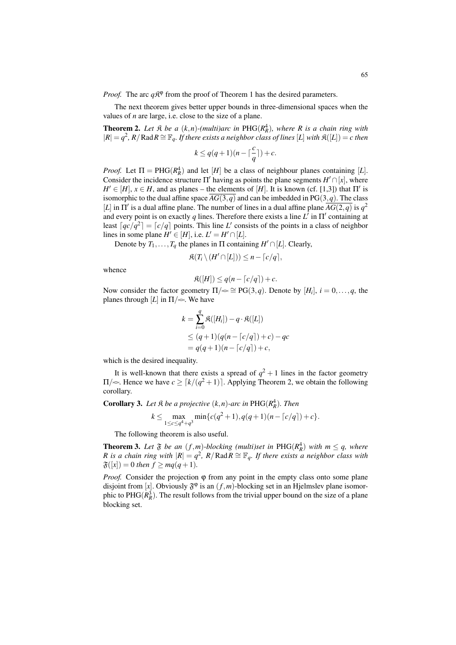*Proof.* The arc  $q\mathcal{R}^{\varphi}$  from the proof of Theorem 1 has the desired parameters.

The next theorem gives better upper bounds in three-dimensional spaces when the values of *n* are large, i.e. close to the size of a plane.

**Theorem 2.** Let  $\mathfrak{K}$  be a  $(k, n)$ -(multi)arc in PHG( $R_R^4$ ), where R is a chain ring with  $|R| = q^2$ , R/Rad R ≅  $\mathbb{F}_q$ *. If there exists a neighbor class of lines* [L] *with*  $\mathfrak{K}([L]) = c$  *then* 

$$
k\leq q(q+1)(n-\lceil \frac{c}{q}\rceil)+c.
$$

*Proof.* Let  $\Pi$  = PHG( $R_R^4$ ) and let [*H*] be a class of neighbour planes containing [*L*]. Consider the incidence structure  $\Pi'$  having as points the plane segments  $H' \cap [x]$ , where  $H' \in [H]$ ,  $x \in H$ , and as planes – the elements of [*H*]. It is known (cf. [1,3]) that  $\Pi'$  is isomorphic to the dual affine space  $\overline{AG(3,q)}$  and can be imbedded in PG(3,*q*). The class [*L*] in  $\Pi'$  is a dual affine plane. The number of lines in a dual affine plane  $\overline{AG(2,q)}$  is  $q^2$ and every point is on exactly *q* lines. Therefore there exists a line *L* ′ in Π′ containing at least  $\lceil qc/q^2\rceil = \lceil c/q \rceil$  points. This line *L'* consists of the points in a class of neighbor lines in some plane  $H' \in [H]$ , i.e.  $L' = H' \cap [L]$ .

Denote by  $T_1, \ldots, T_q$  the planes in  $\Pi$  containing  $H' \cap [L]$ . Clearly,

$$
\mathfrak{K}(T_i \setminus (H' \cap [L])) \leq n - \lceil c/q \rceil,
$$

whence

$$
\mathfrak{K}([H]) \le q(n - \lceil c/q \rceil) + c.
$$

Now consider the factor geometry  $\Pi/\sim \cong PG(3,q)$ . Denote by  $[H_i], i = 0, \ldots, q$ , the planes through  $[L]$  in  $\Pi/\sim$ . We have

$$
k = \sum_{i=0}^{q} \Re([H_i]) - q \cdot \Re([L])
$$
  
\n
$$
\leq (q+1)(q(n - \lceil c/q \rceil) + c) - qc
$$
  
\n
$$
= q(q+1)(n - \lceil c/q \rceil) + c,
$$

which is the desired inequality.

It is well-known that there exists a spread of  $q^2 + 1$  lines in the factor geometry  $\Pi/\sim$ . Hence we have  $c \geq \lceil k/(q^2+1) \rceil$ . Applying Theorem 2, we obtain the following corollary.

**Corollary 3.** Let  $\Re$  be a projective  $(k, n)$ -arc in PHG( $R_R^4$ ). Then

$$
k \le \max_{1 \le c \le q^4 + q^3} \min\{c(q^2 + 1), q(q + 1)(n - \lceil c/q \rceil) + c\}.
$$

The following theorem is also useful.

**Theorem 3.** Let  $\mathfrak{F}$  be an  $(f, m)$ -blocking (multi)set in PHG( $R_R^4$ ) with  $m \leq q$ , where *R* is a chain ring with  $|R| = q^2$ ,  $R/R$  ad  $R \cong \mathbb{F}_q$ . If there exists a neighbor class with  $\mathfrak{F}(|x|) = 0$  then  $f \geq mq(q+1)$ .

*Proof.* Consider the projection φ from any point in the empty class onto some plane disjoint from [x]. Obviously  $\mathfrak{F}^{\varphi}$  is an  $(f,m)$ -blocking set in an Hjelmslev plane isomorphic to  $PHG(R_R^3)$ . The result follows from the trivial upper bound on the size of a plane blocking set.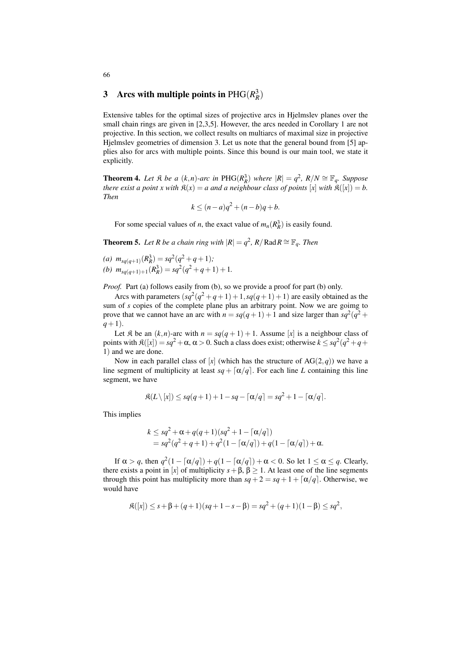## 3 Arcs with multiple points in  $PHG(R_R^3)$

Extensive tables for the optimal sizes of projective arcs in Hjelmslev planes over the small chain rings are given in [2,3,5]. However, the arcs needed in Corollary 1 are not projective. In this section, we collect results on multiarcs of maximal size in projective Hjelmslev geometries of dimension 3. Let us note that the general bound from [5] applies also for arcs with multiple points. Since this bound is our main tool, we state it explicitly.

**Theorem 4.** Let  $\mathfrak{K}$  be a  $(k, n)$ -arc in PHG( $R_R^3$ ) where  $|R| = q^2$ ,  $R/N \cong \mathbb{F}_q$ . Suppose *there exist a point x with*  $\mathfrak{K}(x) = a$  *and a neighbour class of points*  $[x]$  *with*  $\mathfrak{K}([x]) = b$ . *Then*

$$
k \le (n-a)q^2 + (n-b)q + b.
$$

For some special values of *n*, the exact value of  $m_n(R_R^3)$  is easily found.

**Theorem 5.** Let R be a chain ring with  $|R| = q^2$ , R/Rad $R \cong \mathbb{F}_q$ . Then

(*a*)  $m_{sq(q+1)}(R_R^3) = sq^2(q^2+q+1);$ (b)  $m_{sq(q+1)+1}(R_R^3) = sq^2(q^2+q+1)+1$ .

*Proof.* Part (a) follows easily from (b), so we provide a proof for part (b) only.

Arcs with parameters  $(sq^2 + q + 1) + 1$ ,  $sq(q + 1) + 1$ ) are easily obtained as the sum of *s* copies of the complete plane plus an arbitrary point. Now we are goimg to prove that we cannot have an arc with  $n = sq(q+1)+1$  and size larger than  $sq^2(q^2 +$ *q*+1).

Let  $\mathfrak{K}$  be an  $(k, n)$ -arc with  $n = sq(q + 1) + 1$ . Assume [x] is a neighbour class of points with  $\mathfrak{K}([x]) = sq^2 + \alpha, \alpha > 0$ . Such a class does exist; otherwise  $k \le sq^2(q^2+q+1)$ 1) and we are done.

Now in each parallel class of  $[x]$  (which has the structure of  $AG(2,q)$ ) we have a line segment of multiplicity at least  $sq + [\alpha/q]$ . For each line *L* containing this line segment, we have

$$
\mathfrak{K}(L\setminus[x])\leq sq(q+1)+1-sq-\lceil\alpha/q\rceil=sq^2+1-\lceil\alpha/q\rceil.
$$

This implies

$$
k \le sq^2 + \alpha + q(q+1)(sq^2 + 1 - \lceil \alpha/q \rceil)
$$
  
= sq<sup>2</sup>(q<sup>2</sup> + q + 1) + q<sup>2</sup>(1 - \lceil \alpha/q \rceil) + q(1 - \lceil \alpha/q \rceil) + \alpha.

If  $\alpha > q$ , then  $q^2(1 - \lceil \alpha/q \rceil) + q(1 - \lceil \alpha/q \rceil) + \alpha < 0$ . So let  $1 \le \alpha \le q$ . Clearly, there exists a point in [*x*] of multiplicity  $s + \beta$ ,  $\beta > 1$ . At least one of the line segments through this point has multiplicity more than  $sq + 2 = sq + 1 + \lceil \alpha/q \rceil$ . Otherwise, we would have

$$
\mathfrak{K}([x]) \leq s + \beta + (q+1)(sq+1-s-\beta) = sq^2 + (q+1)(1-\beta) \leq sq^2,
$$

66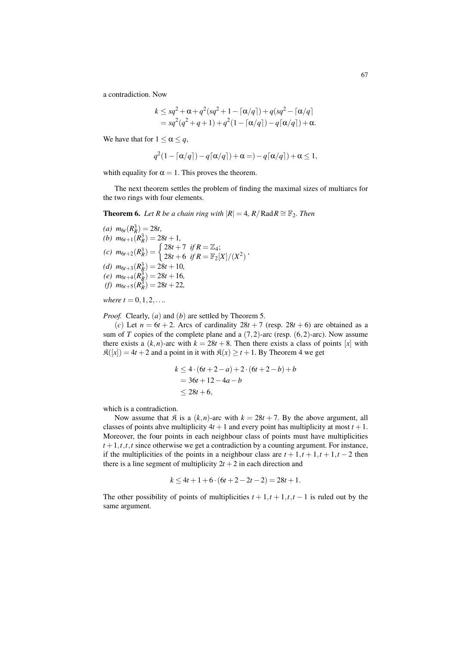a contradiction. Now

$$
k \leq sq^2 + \alpha + q^2(sq^2 + 1 - \lceil \alpha/q \rceil) + q(sq^2 - \lceil \alpha/q \rceil
$$
  
= 
$$
sq^2(q^2 + q + 1) + q^2(1 - \lceil \alpha/q \rceil) - q\lceil \alpha/q \rceil) + \alpha.
$$

We have that for  $1 \le \alpha \le a$ ,

$$
q^2(1 - \lceil \alpha/q \rceil) - q\lceil \alpha/q \rceil) + \alpha = -q\lceil \alpha/q \rceil) + \alpha \le 1,
$$

whith equality for  $\alpha = 1$ . This proves the theorem.

The next theorem settles the problem of finding the maximal sizes of multiarcs for the two rings with four elements.

**Theorem 6.** *Let R be a chain ring with*  $|R| = 4$ ,  $R/R$ ad $R \cong \mathbb{F}_2$ . *Then* 

(a) 
$$
m_{6t}(R_R^3) = 28t
$$
,  
\n(b)  $m_{6t+1}(R_R^3) = 28t + 1$ ,  
\n(c)  $m_{6t+2}(R_R^3) = \begin{cases} 28t + 7 & \text{if } R = \mathbb{Z}_4; \\ 28t + 6 & \text{if } R = \mathbb{F}_2[X]/(X^2) \end{cases}$ ,  
\n(d)  $m_{6t+3}(R_R^3) = 28t + 10$ ,  
\n(e)  $m_{6t+4}(R_R^3) = 28t + 16$ ,  
\n(f)  $m_{6t+5}(R_R^3) = 28t + 22$ ,

*where*  $t = 0, 1, 2, \ldots$ 

*Proof.* Clearly, (*a*) and (*b*) are settled by Theorem 5.

(*c*) Let  $n = 6t + 2$ . Arcs of cardinality  $28t + 7$  (resp.  $28t + 6$ ) are obtained as a sum of *T* copies of the complete plane and a  $(7,2)$ -arc (resp.  $(6,2)$ -arc). Now assume there exists a  $(k, n)$ -arc with  $k = 28t + 8$ . Then there exists a class of points  $[x]$  with  $\mathfrak{K}([x]) = 4t + 2$  and a point in it with  $\mathfrak{K}(x) \ge t + 1$ . By Theorem 4 we get

$$
k \le 4 \cdot (6t + 2 - a) + 2 \cdot (6t + 2 - b) + b
$$
  
= 36t + 12 - 4a - b  

$$
\le 28t + 6,
$$

which is a contradiction.

Now assume that  $\hat{\mathcal{R}}$  is a  $(k, n)$ -arc with  $k = 28t + 7$ . By the above argument, all classes of points ahve multiplicity  $4t + 1$  and every point has multiplicity at most  $t + 1$ . Moreover, the four points in each neighbour class of points must have multiplicities  $t+1, t, t, t$  since otherwise we get a contradiction by a counting argument. For instance, if the multiplicities of the points in a neighbour class are  $t + 1$ ,  $t + 1$ ,  $t + 1$ ,  $t - 2$  then there is a line segment of multiplicity  $2t + 2$  in each direction and

$$
k \le 4t + 1 + 6 \cdot (6t + 2 - 2t - 2) = 28t + 1.
$$

The other possibility of points of multiplicities  $t + 1, t + 1, t, t - 1$  is ruled out by the same argument.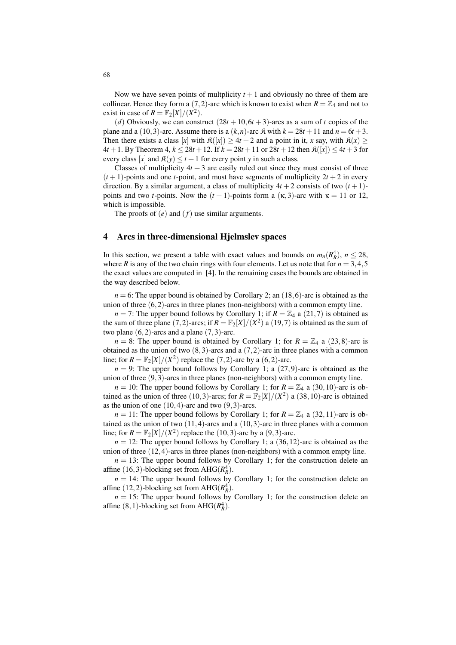Now we have seven points of multplicity  $t + 1$  and obviously no three of them are collinear. Hence they form a  $(7,2)$ -arc which is known to exist when  $R = \mathbb{Z}_4$  and not to exist in case of  $R = \mathbb{F}_2[X]/(X^2)$ .

(*d*) Obviously, we can construct  $(28t + 10, 6t + 3)$ -arcs as a sum of *t* copies of the plane and a (10,3)-arc. Assume there is a  $(k, n)$ -arc  $\mathfrak{K}$  with  $k = 28t + 11$  and  $n = 6t + 3$ . Then there exists a class  $[x]$  with  $\mathfrak{K}([x]) \ge 4t + 2$  and a point in it, *x* say, with  $\mathfrak{K}(x) \ge 0$  $4t + 1$ . By Theorem  $4, k \le 28t + 12$ . If  $k = 28t + 11$  or  $28t + 12$  then  $\mathfrak{K}([x]) \le 4t + 3$  for every class [*x*] and  $\mathfrak{K}(y) \le t+1$  for every point *y* in such a class.

Classes of multiplicity  $4t + 3$  are easily ruled out since they must consist of three  $(t+1)$ -points and one *t*-point, and must have segments of multiplicity  $2t + 2$  in every direction. By a similar argument, a class of multiplicity  $4t + 2$  consists of two  $(t + 1)$ points and two *t*-points. Now the  $(t + 1)$ -points form a  $(\kappa, 3)$ -arc with  $\kappa = 11$  or 12, which is impossible.

The proofs of (*e*) and (*f*) use similar arguments.

#### 4 Arcs in three-dimensional Hjelmslev spaces

In this section, we present a table with exact values and bounds on  $m_n(R_R^4)$ ,  $n \le 28$ , where *R* is any of the two chain rings with four elements. Let us note that for  $n = 3, 4, 5$ the exact values are computed in [4]. In the remaining cases the bounds are obtained in the way described below.

 $n = 6$ : The upper bound is obtained by Corollary 2; an  $(18, 6)$ -arc is obtained as the union of three  $(6,2)$ -arcs in three planes (non-neighbors) with a common empty line.

 $n = 7$ : The upper bound follows by Corollary 1; if  $R = \mathbb{Z}_4$  a (21,7) is obtained as the sum of three plane (7,2)-arcs; if  $R = \mathbb{F}_2[X]/(X^2)$  a (19,7) is obtained as the sum of two plane  $(6,2)$ -arcs and a plane  $(7,3)$ -arc.

 $n = 8$ : The upper bound is obtained by Corollary 1; for  $R = \mathbb{Z}_4$  a (23,8)-arc is obtained as the union of two  $(8,3)$ -arcs and a  $(7,2)$ -arc in three planes with a common line; for  $R = \mathbb{F}_2[X]/(X^2)$  replace the  $(7,2)$ -arc by a  $(6,2)$ -arc.

 $n = 9$ : The upper bound follows by Corollary 1; a  $(27, 9)$ -arc is obtained as the union of three  $(9,3)$ -arcs in three planes (non-neighbors) with a common empty line.

 $n = 10$ : The upper bound follows by Corollary 1; for  $R = \mathbb{Z}_4$  a (30,10)-arc is obtained as the union of three (10,3)-arcs; for  $R = \mathbb{F}_2[X]/(X^2)$  a (38,10)-arc is obtained as the union of one  $(10, 4)$ -arc and two  $(9, 3)$ -arcs.

 $n = 11$ : The upper bound follows by Corollary 1; for  $R = \mathbb{Z}_4$  a (32,11)-arc is obtained as the union of two (11,4)-arcs and a (10,3)-arc in three planes with a common line; for  $R = \mathbb{F}_2[X]/(X^2)$  replace the  $(10, 3)$ -arc by a  $(9, 3)$ -arc.

 $n = 12$ : The upper bound follows by Corollary 1; a  $(36, 12)$ -arc is obtained as the union of three (12,4)-arcs in three planes (non-neighbors) with a common empty line.

 $n = 13$ : The upper bound follows by Corollary 1; for the construction delete an affine (16,3)-blocking set from  $AHG(R_R^4)$ .

 $n = 14$ : The upper bound follows by Corollary 1; for the construction delete an affine (12,2)-blocking set from  $AHG(R_R^4)$ .

 $n = 15$ : The upper bound follows by Corollary 1; for the construction delete an affine  $(8, 1)$ -blocking set from AHG $(R_R^4)$ .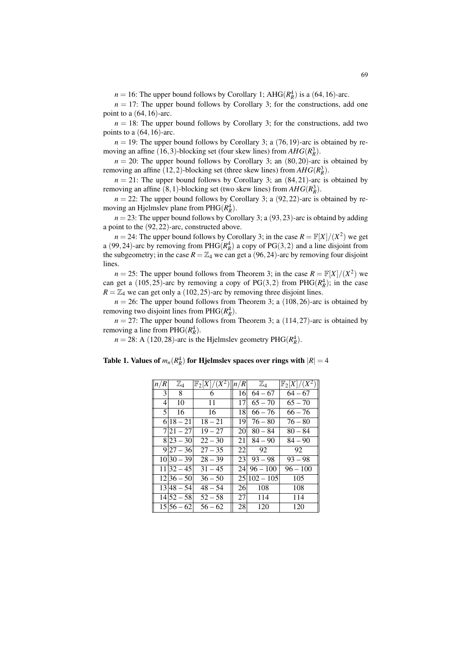$n = 16$ : The upper bound follows by Corollary 1; AHG( $R_R^4$ ) is a (64,16)-arc.

 $n = 17$ : The upper bound follows by Corollary 3; for the constructions, add one point to a  $(64, 16)$ -arc.

 $n = 18$ : The upper bound follows by Corollary 3; for the constructions, add two points to a  $(64, 16)$ -arc.

 $n = 19$ : The upper bound follows by Corollary 3; a (76, 19)-arc is obtained by removing an affine (16,3)-blocking set (four skew lines) from  $AHG(R_R^3)$ .

 $n = 20$ : The upper bound follows by Corollary 3; an  $(80, 20)$ -arc is obtained by removing an affine (12,2)-blocking set (three skew lines) from  $AHG(R_R^3)$ .

 $n = 21$ : The upper bound follows by Corollary 3; an  $(84,21)$ -arc is obtained by removing an affine  $(8, 1)$ -blocking set (two skew lines) from  $AHG(R_R^3)$ .

 $n = 22$ : The upper bound follows by Corollary 3; a  $(92, 22)$ -arc is obtained by removing an Hjelmslev plane from  $PHG(R_R^4)$ .

 $n = 23$ : The upper bound follows by Corollary 3; a (93,23)-arc is obtaind by adding a point to the (92,22)-arc, constructed above.

 $n = 24$ : The upper bound follows by Corollary 3; in the case  $R = \mathbb{F}[X]/(X^2)$  we get a (99,24)-arc by removing from  $PHG(R_R^4)$  a copy of  $PG(3,2)$  and a line disjoint from the subgeometry; in the case  $R = \mathbb{Z}_4$  we can get a (96,24)-arc by removing four disjoint lines.

 $n = 25$ : The upper bound follows from Theorem 3; in the case  $R = \mathbb{F}[X]/(X^2)$  we can get a (105,25)-arc by removing a copy of  $PG(3,2)$  from  $PHG(R_R^4)$ ; in the case  $R = \mathbb{Z}_4$  we can get only a (102, 25)-arc by removing three disjoint lines.

 $n = 26$ : The upper bound follows from Theorem 3; a (108, 26)-arc is obtained by removing two disjoint lines from  $PHG(R^4_R)$ .

 $n = 27$ : The upper bound follows from Theorem 3; a  $(114, 27)$ -arc is obtained by removing a line from  $PHG(R_R^4)$ .

 $n = 28$ : A (120, 28)-arc is the Hjelmslev geometry PHG( $R_R^4$ ).

| n/R            | $\mathbb{Z}_4$ | $\mathbb{F}_2[X]/(X^2)$ | n/R             | $\mathbb{Z}_4$ | $\mathbb{F}_2[X]/(X^2)$ |
|----------------|----------------|-------------------------|-----------------|----------------|-------------------------|
| $\overline{3}$ | 8              | 6                       | 16              | $64 - 67$      | $64 - 67$               |
| 4              | 10             | 11                      | 17              | $65 - 70$      | $65 - 70$               |
| $\mathfrak{H}$ | 16             | 16                      | 18              | $66 - 76$      | $66 - 76$               |
|                | $6 18-21$      | $18 - 21$               | 19              | $76 - 80$      | $76 - 80$               |
|                | $7 21 - 27 $   | $19 - 27$               | 20              | $80 - 84$      | $80 - 84$               |
|                | $8 23 - 30 $   | $22 - 30$               | 21              | $84 - 90$      | $84 - 90$               |
|                | $9 27 - 36 $   | $27 - 35$               | 22              | 92             | 92                      |
|                | $10 30 - 39 $  | $28 - 39$               | 23              | $93 - 98$      | $93 - 98$               |
|                | $11 32 - 45 $  | $31 - 45$               | 241             | $96 - 100$     | $96 - 100$              |
|                | $12 36-50 $    | $36 - 50$               |                 | $25 102 - 105$ | 105                     |
|                | $13 48 - 54 $  | $48 - 54$               | <b>26</b>       | 108            | 108                     |
|                | $14 52 - 58 $  | $52 - 58$               | 27 <sup>1</sup> | 114            | 114                     |
|                | $15 56 - 62 $  | $56 - 62$               | 28              | 120            | 120                     |